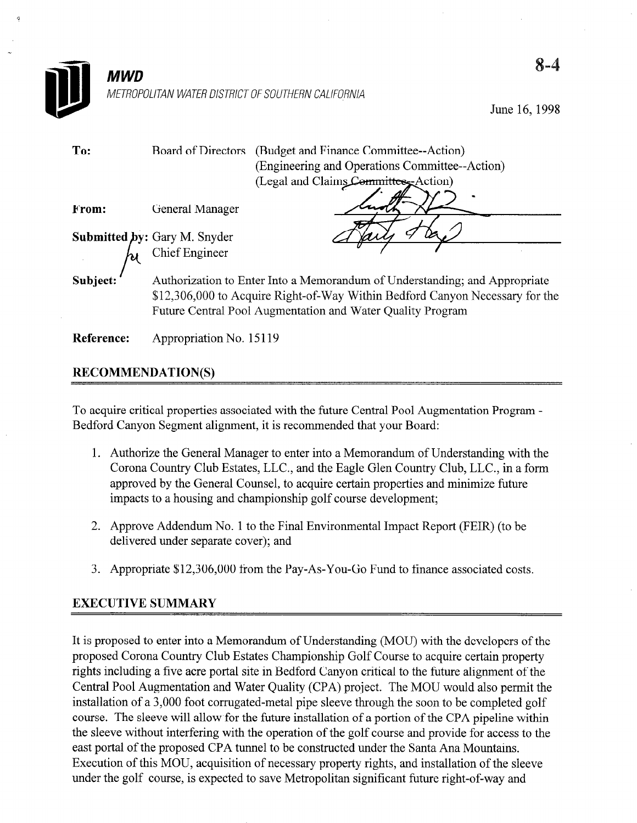

June 16,1998

| To:               | (Budget and Finance Committee--Action)<br>Board of Directors                                                                                                                                                             |  |  |  |
|-------------------|--------------------------------------------------------------------------------------------------------------------------------------------------------------------------------------------------------------------------|--|--|--|
|                   | (Engineering and Operations Committee--Action)                                                                                                                                                                           |  |  |  |
|                   | (Legal and Claims Committee, Action)                                                                                                                                                                                     |  |  |  |
| From:             | General Manager                                                                                                                                                                                                          |  |  |  |
|                   |                                                                                                                                                                                                                          |  |  |  |
|                   | <b>Submitted by:</b> Gary M. Snyder $\begin{bmatrix} \mathbf{A} \\ \mathbf{B} \end{bmatrix}$ Chief Engineer                                                                                                              |  |  |  |
| Subject:          | Authorization to Enter Into a Memorandum of Understanding; and Appropriate<br>\$12,306,000 to Acquire Right-of-Way Within Bedford Canyon Necessary for the<br>Future Central Pool Augmentation and Water Quality Program |  |  |  |
| <b>Reference:</b> | Appropriation No. 15119                                                                                                                                                                                                  |  |  |  |

## RECOMMENDATION(S)

To acquire critical properties associated with the future Central Pool Augmentation Program - Bedford Canyon Segment alignment, it is recommended that your Board:

- 1. Authorize the General Manager to enter into a Memorandum of Understanding with the Corona Country Club Estates, LLC., and the Eagle Glen Country Club, LLC., in a form approved by the General Counsel, to acquire certain properties and minimize future impacts to a housing and championship golf course development;
- 2. Approve Addendum No. 1 to the Final Environmental Impact Report (FEIR) (to be delivered under separate cover); and
- 3. Appropriate \$12,306,000 from the Pay-As-You-Go Fund to finance associated costs.

## EXECUTIVE SUMMARY

It is proposed to enter into a Memorandum of Understanding (MOU) with the developers of the proposed Corona Country Club Estates Championship Golf Course to acquire certain property rights including a five acre portal site in Bedford Canyon critical to the future alignment of the Central Pool Augmentation and Water Quality (CPA) project. The MOU would also permit the installation of a 3,000 foot corrugated-metal pipe sleeve through the soon to be completed golf course. The sleeve will allow for the future installation of a portion of the CPA pipeline within the sleeve without interfering with the operation of the golf course and provide for access to the east portal of the proposed CPA tunnel to be constructed under the Santa Ana Mountains. Execution of this MOU, acquisition of necessary property rights, and installation of the sleeve under the golf course, is expected to save Metropolitan significant future right-of-way and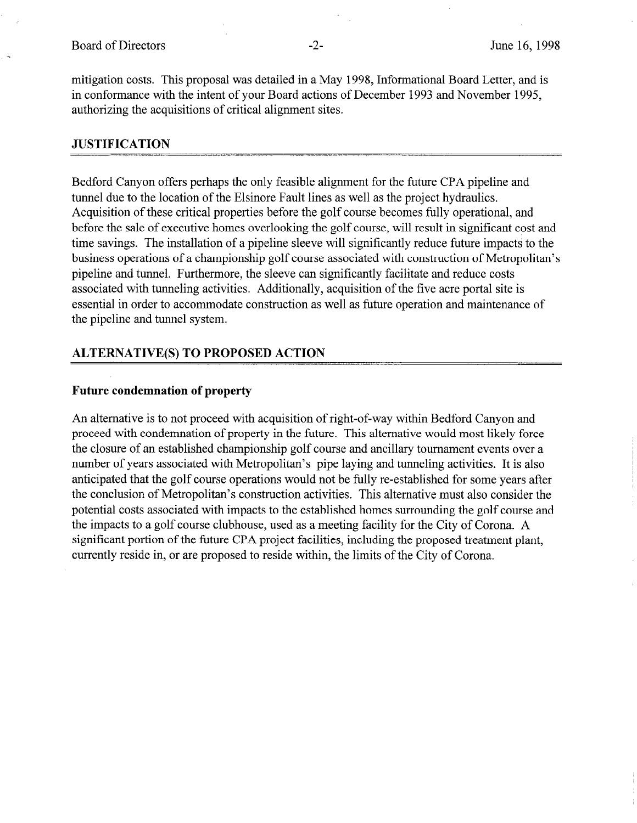mitigation costs. This proposal was detailed in a May 1998, Informational Board Letter, and is in conformance with the intent of your Board actions of December 1993 and November 1995, authorizing the acquisitions of critical alignment sites.

### JUSTIFICATION

Bedford Canyon offers perhaps the only feasible alignment for the future CPA pipeline and tunnel due to the location of the Elsinore Fault lines as well as the project hydraulics. Acquisition of these critical properties before the golf course becomes fully operational, and before the sale of executive homes overlooking the golf course, will result in significant cost and time savings. The installation of a pipeline sleeve will significantly reduce future impacts to the business operations of a championship golf course associated with construction of Metropolitan's pipeline and tunnel. Furthermore, the sleeve can significantly facilitate and reduce costs associated with tunneling activities. Additionally, acquisition of the five acre portal site is essential in order to accommodate construction as well as future operation and maintenance of the pipeline and tunnel system.

## ALTERNATIVE(S) TO PROPOSED ACTION

#### Future condemnation of property

An alternative is to not proceed with acquisition of right-of-way within Bedford Canyon and proceed with condemnation of property in the future. This alternative would most likely force the closure of an established championship golf course and ancillary tournament events over a number of years associated with Metropolitan's pipe laying and tunneling activities. It is also anticipated that the golf course operations would not be fully re-established for some years after the conclusion of Metropolitan's construction activities. This alternative must also consider the potential costs associated with impacts to the established homes surrounding the golf course and the impacts to a golf course clubhouse, used as a meeting facility for the City of Corona. A significant portion of the future CPA project facilities, including the proposed treatment plant, currently reside in, or are proposed to reside within, the limits of the City of Corona.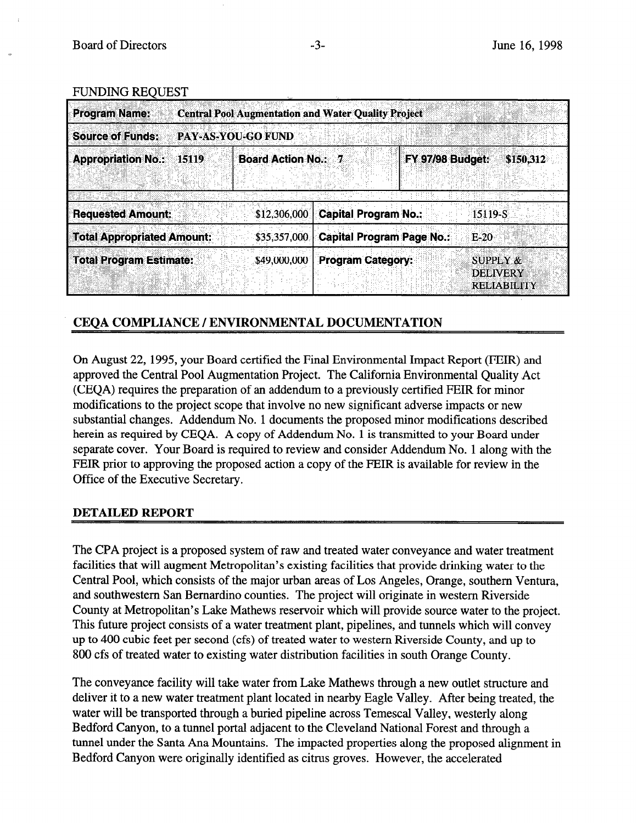#### **FUNDING REQUEST**

| <b>Program Name:</b>              | <b>Central Pool Augmentation and Water Quality Project</b> |                           |                                  |                                                              |  |
|-----------------------------------|------------------------------------------------------------|---------------------------|----------------------------------|--------------------------------------------------------------|--|
| <b>Source of Funds:</b>           |                                                            | <b>PAY-AS-YOU-GO FUND</b> |                                  |                                                              |  |
| <b>Appropriation No.:</b>         | 15119                                                      | <b>Board Action No.:</b>  | <b>FY 97/98 Budget:</b><br>ा     | \$150,312                                                    |  |
|                                   |                                                            |                           |                                  |                                                              |  |
| <b>Requested Amount:</b>          |                                                            | \$12,306,000              | <b>Capital Program No.:</b>      | 15119-S                                                      |  |
| <b>Total Appropriated Amount:</b> |                                                            | \$35,357,000              | <b>Capital Program Page No.:</b> | $E-20$                                                       |  |
| <b>Total Program Estimate:</b>    |                                                            | \$49,000,000              | <b>Program Category:</b>         | <b>SUPPLY &amp;</b><br><b>DELIVERY</b><br><b>RELIABILITY</b> |  |

# CEOA COMPLIANCE / ENVIRONMENTAL DOCUMENTATION

On August 22, 1995, your Board certified the Final Environmental Impact Report (FEIR) and approved the Central Pool Augmentation Project. The California Environmental Quality Act (CEQA) requires the preparation of an addendum to a previously certified FEIR for minor modifications to the project scope that involve no new significant adverse impacts or new substantial changes. Addendum No. 1 documents the proposed minor modifications described herein as required by CEQA. A copy of Addendum No. 1 is transmitted to your Board under separate cover. Your Board is required to review and consider Addendum No. 1 along with the FEIR prior to approving the proposed action a copy of the FEIR is available for review in the Office of the Executive Secretary.

### DETAILED REPORT

The CPA project is a proposed system of raw and treated water conveyance and water treatment facilities that will augment Metropolitan's existing facilities that provide drinking water to the Central Pool, which consists of the major urban areas of Los Angeles, Orange, southern Ventura, and southwestern San Bernardino counties. The project will originate in western Riverside County at Metropolitan's Lake Mathews reservoir which will provide source water to the project. This future project consists of a water treatment plant, pipelines, and tunnels which will convey up to 400 cubic feet per second (cfs) of treated water to western Riverside County, and up to 800 cfs of treated water to existing water distribution facilities in south Orange County.

The conveyance facility will take water from Lake Mathews through a new outlet structure and deliver it to a new water treatment plant located in nearby Eagle Valley. After being treated, the water will be transported through a buried pipeline across Temescal Valley, westerly along Bedford Canyon, to a tunnel portal adjacent to the Cleveland National Forest and through a tunnel under the Santa Ana Mountains. The impacted properties along the proposed alignment in Bedford Canyon were originally identified as citrus groves. However, the accelerated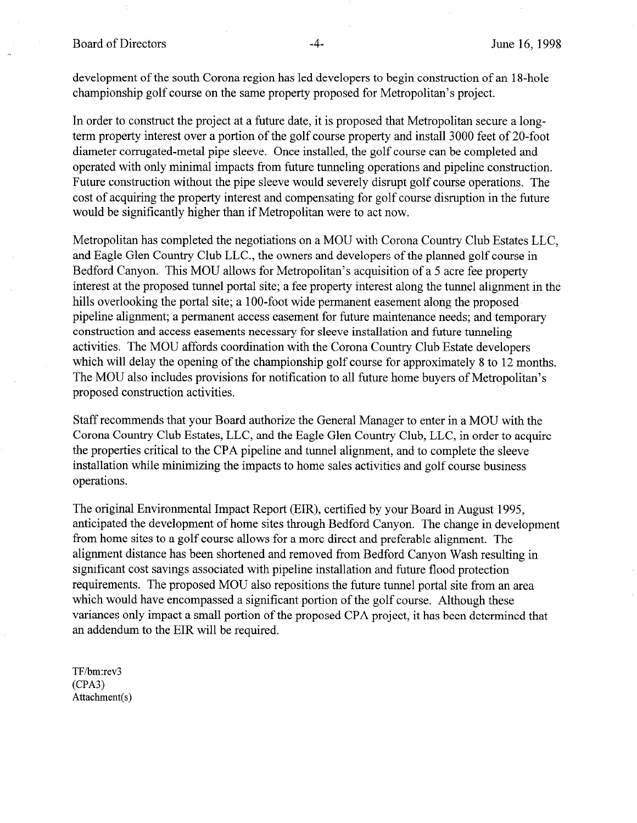Board of Directors -4- June 16, 1998

development of the south Corona region has led developers to begin construction of an 18-hole championship golf course on the same property proposed for Metropolitan's project.

In order to construct the project at a future date, it is proposed that Metropolitan secure a longterm property interest over a portion of the golf course property and install 3000 feet of 20-foot diameter corrugated-metal pipe sleeve. Once installed, the golf course can be completed and operated with only minimal impacts from future tunneling operations and pipeline construction. Future construction without the pipe sleeve would severely disrupt golf course operations. The cost of acquiring the property interest and compensating for golf course disruption in the future would be significantly higher than if Metropolitan were to act now.

Metropolitan has completed the negotiations on a MOU with Corona Country Club Estates LLC, and Eagle Glen Country Club LLC., the owners and developers of the planned golf course in Bedford Canyon. This MOU allows for Metropolitan's acquisition of a 5 acre fee property interest at the proposed tunnel portal site; a fee property interest along the tunnel alignment in the hills overlooking the portal site; a 100-foot wide permanent easement along the proposed pipeline alignment; a permanent access easement for future maintenance needs; and temporary construction and access easements necessary for sleeve installation and future tunneling activities. The MOU affords coordination with the Corona Country Club Estate developers which will delay the opening of the championship golf course for approximately 8 to 12 months. The MOU also includes provisions for notification to all future home buyers of Metropolitan's proposed construction activities.

Staff recommends that your Board authorize the General Manager to enter in a MOU with the Corona Country Club Estates, LLC, and the Eagle Glen Country Club, LLC, in order to acquire the properties critical to the CPA pipeline and tunnel alignment, and to complete the sleeve installation while minimizing the impacts to home sales activities and golf course business operations.

The original Environmental Impact Report (EIR), certified by your Board in August 1995, anticipated the development of home sites through Bedford Canyon. The change in development from home sites to a golf course allows for a more direct and preferable alignment. The alignment distance has been shortened and removed from Bedford Canyon Wash resulting in significant cost savings associated with pipeline installation and future flood protection requirements. The proposed MOU also repositions the future tunnel portal site from an area which would have encompassed a significant portion of the golf course. Although these variances only impact a small portion of the proposed CPA project, it has been determined that an addendum to the EIR will be required.

TF/bm:rev3 (CPA3) Attachment(s)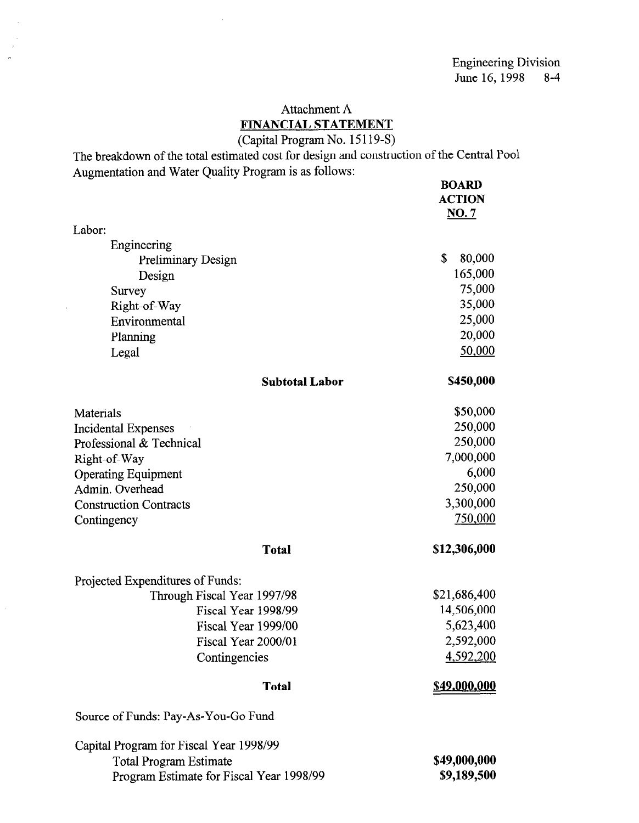# Attachment A FINANCIAL STATEMENT

## (Capital Program No. 15 119-S)

The breakdown of the total estimated cost for design and construction of the Central Pool Augmentation and Water Quality Program is as follows: BOARD

 $\sim 10$ 

|                                          | BUAKD<br><b>ACTION</b><br>NO.7 |
|------------------------------------------|--------------------------------|
| Labor:                                   |                                |
| Engineering                              |                                |
| <b>Preliminary Design</b>                | \$<br>80,000                   |
| Design                                   | 165,000                        |
| Survey                                   | 75,000                         |
| Right-of-Way                             | 35,000                         |
| Environmental                            | 25,000                         |
| Planning                                 | 20,000                         |
| Legal                                    | 50,000                         |
| <b>Subtotal Labor</b>                    | \$450,000                      |
| Materials                                | \$50,000                       |
| <b>Incidental Expenses</b>               | 250,000                        |
| Professional & Technical                 | 250,000                        |
| Right-of-Way                             | 7,000,000                      |
| <b>Operating Equipment</b>               | 6,000                          |
| Admin. Overhead                          | 250,000                        |
| <b>Construction Contracts</b>            | 3,300,000                      |
| Contingency                              | 750,000                        |
| <b>Total</b>                             | \$12,306,000                   |
| Projected Expenditures of Funds:         |                                |
| Through Fiscal Year 1997/98              | \$21,686,400                   |
| Fiscal Year 1998/99                      | 14,506,000                     |
| Fiscal Year 1999/00                      | 5,623,400                      |
| Fiscal Year 2000/01                      | 2,592,000                      |
| Contingencies                            | <u>4,592,200</u>               |
| <b>Total</b>                             | <u>\$49,000,000</u>            |
| Source of Funds: Pay-As-You-Go Fund      |                                |
| Capital Program for Fiscal Year 1998/99  |                                |
| <b>Total Program Estimate</b>            | \$49,000,000                   |
| Program Estimate for Fiscal Year 1998/99 | \$9,189,500                    |

 $\hat{\mathcal{L}}$